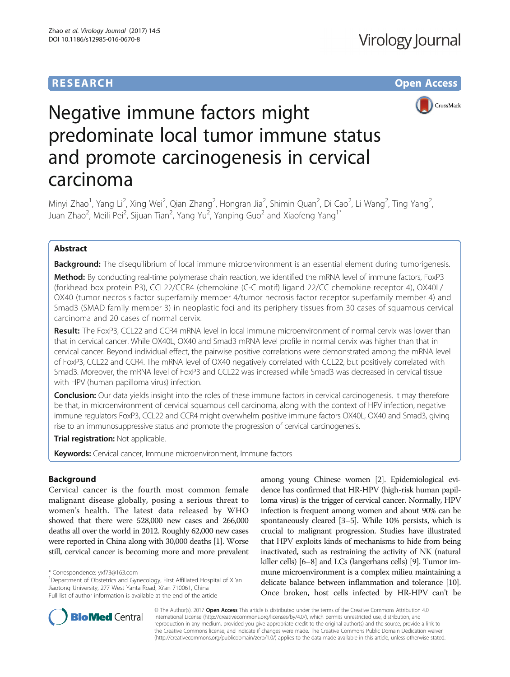## **RESEARCH CHE Open Access**



# Negative immune factors might predominate local tumor immune status and promote carcinogenesis in cervical carcinoma

Minyi Zhao<sup>1</sup>, Yang Li<sup>2</sup>, Xing Wei<sup>2</sup>, Qian Zhang<sup>2</sup>, Hongran Jia<sup>2</sup>, Shimin Quan<sup>2</sup>, Di Cao<sup>2</sup>, Li Wang<sup>2</sup>, Ting Yang<sup>2</sup> , Juan Zhao<sup>2</sup>, Meili Pei<sup>2</sup>, Sijuan Tian<sup>2</sup>, Yang Yu<sup>2</sup>, Yanping Guo<sup>2</sup> and Xiaofeng Yang<sup>1\*</sup>

### Abstract

Background: The disequilibrium of local immune microenvironment is an essential element during tumorigenesis. Method: By conducting real-time polymerase chain reaction, we identified the mRNA level of immune factors, FoxP3 (forkhead box protein P3), CCL22/CCR4 (chemokine (C-C motif) ligand 22/CC chemokine receptor 4), OX40L/ OX40 (tumor necrosis factor superfamily member 4/tumor necrosis factor receptor superfamily member 4) and Smad3 (SMAD family member 3) in neoplastic foci and its periphery tissues from 30 cases of squamous cervical carcinoma and 20 cases of normal cervix.

Result: The FoxP3, CCL22 and CCR4 mRNA level in local immune microenvironment of normal cervix was lower than that in cervical cancer. While OX40L, OX40 and Smad3 mRNA level profile in normal cervix was higher than that in cervical cancer. Beyond individual effect, the pairwise positive correlations were demonstrated among the mRNA level of FoxP3, CCL22 and CCR4. The mRNA level of OX40 negatively correlated with CCL22, but positively correlated with Smad3. Moreover, the mRNA level of FoxP3 and CCL22 was increased while Smad3 was decreased in cervical tissue with HPV (human papilloma virus) infection.

Conclusion: Our data yields insight into the roles of these immune factors in cervical carcinogenesis. It may therefore be that, in microenvironment of cervical squamous cell carcinoma, along with the context of HPV infection, negative immune regulators FoxP3, CCL22 and CCR4 might overwhelm positive immune factors OX40L, OX40 and Smad3, giving rise to an immunosuppressive status and promote the progression of cervical carcinogenesis.

Trial registration: Not applicable.

Keywords: Cervical cancer, Immune microenvironment, Immune factors

#### Background

Cervical cancer is the fourth most common female malignant disease globally, posing a serious threat to women's health. The latest data released by WHO showed that there were 528,000 new cases and 266,000 deaths all over the world in 2012. Roughly 62,000 new cases were reported in China along with 30,000 deaths [\[1\]](#page-5-0). Worse still, cervical cancer is becoming more and more prevalent

among young Chinese women [\[2\]](#page-5-0). Epidemiological evidence has confirmed that HR-HPV (high-risk human papilloma virus) is the trigger of cervical cancer. Normally, HPV infection is frequent among women and about 90% can be spontaneously cleared [[3](#page-5-0)–[5\]](#page-5-0). While 10% persists, which is crucial to malignant progression. Studies have illustrated that HPV exploits kinds of mechanisms to hide from being inactivated, such as restraining the activity of NK (natural killer cells) [\[6](#page-5-0)–[8\]](#page-5-0) and LCs (langerhans cells) [[9](#page-5-0)]. Tumor immune microenvironment is a complex milieu maintaining a delicate balance between inflammation and tolerance [\[10](#page-5-0)]. Once broken, host cells infected by HR-HPV can't be



© The Author(s). 2017 **Open Access** This article is distributed under the terms of the Creative Commons Attribution 4.0 International License [\(http://creativecommons.org/licenses/by/4.0/](http://creativecommons.org/licenses/by/4.0/)), which permits unrestricted use, distribution, and reproduction in any medium, provided you give appropriate credit to the original author(s) and the source, provide a link to the Creative Commons license, and indicate if changes were made. The Creative Commons Public Domain Dedication waiver [\(http://creativecommons.org/publicdomain/zero/1.0/](http://creativecommons.org/publicdomain/zero/1.0/)) applies to the data made available in this article, unless otherwise stated.

<sup>\*</sup> Correspondence: [yxf73@163.com](mailto:yxf73@163.com) <sup>1</sup>

<sup>&</sup>lt;sup>1</sup>Department of Obstetrics and Gynecology, First Affiliated Hospital of Xi'an Jiaotong University, 277 West Yanta Road, Xi'an 710061, China Full list of author information is available at the end of the article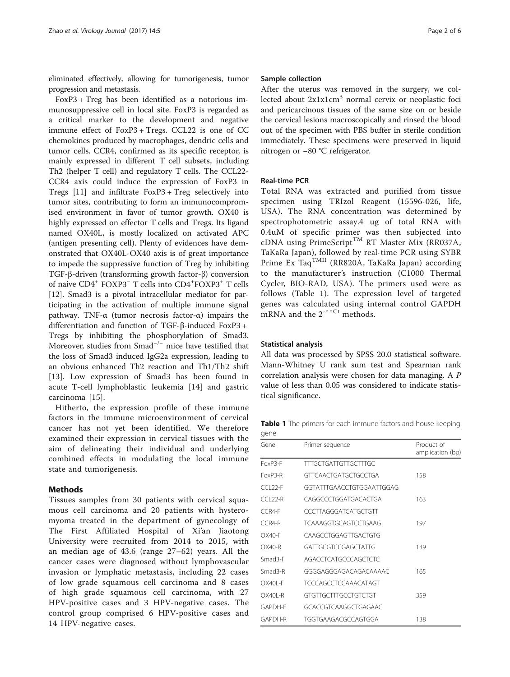eliminated effectively, allowing for tumorigenesis, tumor progression and metastasis.

FoxP3 + Treg has been identified as a notorious immunosuppressive cell in local site. FoxP3 is regarded as a critical marker to the development and negative immune effect of FoxP3 + Tregs. CCL22 is one of CC chemokines produced by macrophages, dendric cells and tumor cells. CCR4, confirmed as its specific receptor, is mainly expressed in different T cell subsets, including Th2 (helper T cell) and regulatory T cells. The CCL22- CCR4 axis could induce the expression of FoxP3 in Tregs [\[11](#page-5-0)] and infiltrate FoxP3 + Treg selectively into tumor sites, contributing to form an immunocompromised environment in favor of tumor growth. OX40 is highly expressed on effector T cells and Tregs. Its ligand named OX40L, is mostly localized on activated APC (antigen presenting cell). Plenty of evidences have demonstrated that OX40L-OX40 axis is of great importance to impede the suppressive function of Treg by inhibiting TGF-β-driven (transforming growth factor-β) conversion of naive CD4<sup>+</sup> FOXP3<sup>−</sup> T cells into CD4<sup>+</sup> FOXP3<sup>+</sup> T cells [[12\]](#page-5-0). Smad3 is a pivotal intracellular mediator for participating in the activation of multiple immune signal pathway. TNF-α (tumor necrosis factor-α) impairs the differentiation and function of TGF-β-induced FoxP3 + Tregs by inhibiting the phosphorylation of Smad3. Moreover, studies from Smad−/<sup>−</sup> mice have testified that the loss of Smad3 induced IgG2a expression, leading to an obvious enhanced Th2 reaction and Th1/Th2 shift [[13\]](#page-5-0). Low expression of Smad3 has been found in acute T-cell lymphoblastic leukemia [\[14](#page-5-0)] and gastric carcinoma [\[15](#page-5-0)].

Hitherto, the expression profile of these immune factors in the immune microenvironment of cervical cancer has not yet been identified. We therefore examined their expression in cervical tissues with the aim of delineating their individual and underlying combined effects in modulating the local immune state and tumorigenesis.

#### Methods

Tissues samples from 30 patients with cervical squamous cell carcinoma and 20 patients with hysteromyoma treated in the department of gynecology of The First Affiliated Hospital of Xi'an Jiaotong University were recruited from 2014 to 2015, with an median age of 43.6 (range 27–62) years. All the cancer cases were diagnosed without lymphovascular invasion or lymphatic metastasis, including 22 cases of low grade squamous cell carcinoma and 8 cases of high grade squamous cell carcinoma, with 27 HPV-positive cases and 3 HPV-negative cases. The control group comprised 6 HPV-positive cases and 14 HPV-negative cases.

#### Sample collection

After the uterus was removed in the surgery, we collected about  $2x1x1cm<sup>3</sup>$  normal cervix or neoplastic foci and pericarcinous tissues of the same size on or beside the cervical lesions macroscopically and rinsed the blood out of the specimen with PBS buffer in sterile condition immediately. These specimens were preserved in liquid nitrogen or −80 °C refrigerator.

#### Real-time PCR

Total RNA was extracted and purified from tissue specimen using TRIzol Reagent (15596-026, life, USA). The RNA concentration was determined by spectrophotometric assay.4 ug of total RNA with 0.4uM of specific primer was then subjected into cDNA using PrimeScript<sup>TM</sup> RT Master Mix (RR037A, TaKaRa Japan), followed by real-time PCR using SYBR Prime Ex Taq<sup>TMII</sup> (RR820A, TaKaRa Japan) according to the manufacturer's instruction (C1000 Thermal Cycler, BIO-RAD, USA). The primers used were as follows (Table 1). The expression level of targeted genes was calculated using internal control GAPDH mRNA and the  $2^{-\Delta}$ <sup>Ct</sup> methods.

#### Statistical analysis

All data was processed by SPSS 20.0 statistical software. Mann-Whitney U rank sum test and Spearman rank correlation analysis were chosen for data managing. A P value of less than 0.05 was considered to indicate statistical significance.

Table 1 The primers for each immune factors and house-keeping gene

| Gene        | Primer sequence             | Product of<br>amplication (bp) |
|-------------|-----------------------------|--------------------------------|
| FoxP3-F     | TTTGCTGATTGTTGCTTTGC        |                                |
| FoxP3-R     | GTTCAACTGATGCTGCCTGA        | 158                            |
| CCL22-F     | GGTATTTGAACCTGTGGAATTGGAG   |                                |
| $CCl 22-R$  | CAGGCCCTGGATGACACTGA        | 163                            |
| $CCRA-F$    | CCCTTAGGGATCATGCTGTT        |                                |
| $CCR4-R$    | TCAAAGGTGCAGTCCTGAAG        | 197                            |
| $OX40-F$    | CAAGCCTGGAGTTGACTGTG        |                                |
| $OX40-R$    | GATTGCGTCCGAGCTATTG         | 139                            |
| Smad3-F     | AGACCTCATGCCCAGCTCTC        |                                |
| Smad3-R     | GGGGAGGGAGACAGACAAAAC       | 165                            |
| $OX40I - F$ | <b>TCCCAGCCTCCAAACATAGT</b> |                                |
| $OX40I - R$ | GIGITGCITIGCCTGICTGI        | 359                            |
| GAPDH-F     | GCACCGTCAAGGCTGAGAAC        |                                |
| GAPDH-R     | TGGTGAAGACGCCAGTGGA         | 138                            |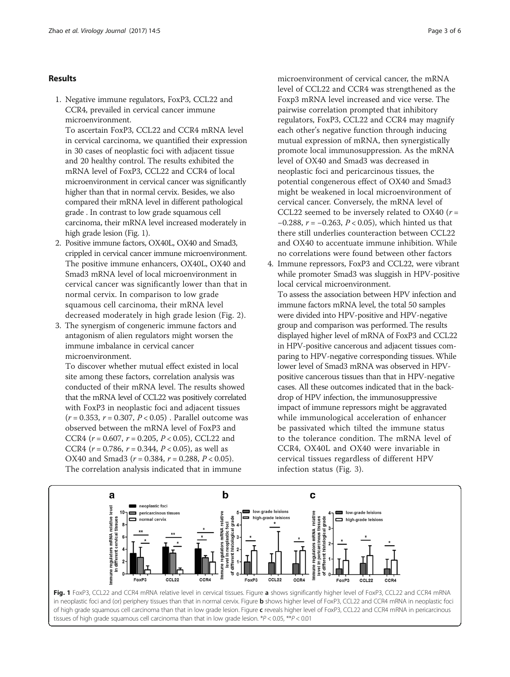#### Results

1. Negative immune regulators, FoxP3, CCL22 and CCR4, prevailed in cervical cancer immune microenvironment.

To ascertain FoxP3, CCL22 and CCR4 mRNA level in cervical carcinoma, we quantified their expression in 30 cases of neoplastic foci with adjacent tissue and 20 healthy control. The results exhibited the mRNA level of FoxP3, CCL22 and CCR4 of local microenvironment in cervical cancer was significantly higher than that in normal cervix. Besides, we also compared their mRNA level in different pathological grade . In contrast to low grade squamous cell carcinoma, their mRNA level increased moderately in high grade lesion (Fig. 1).

- 2. Positive immune factors, OX40L, OX40 and Smad3, crippled in cervical cancer immune microenvironment. The positive immune enhancers, OX40L, OX40 and Smad3 mRNA level of local microenvironment in cervical cancer was significantly lower than that in normal cervix. In comparison to low grade squamous cell carcinoma, their mRNA level decreased moderately in high grade lesion (Fig. [2\)](#page-3-0).
- 3. The synergism of congeneric immune factors and antagonism of alien regulators might worsen the immune imbalance in cervical cancer microenvironment.

To discover whether mutual effect existed in local site among these factors, correlation analysis was conducted of their mRNA level. The results showed that the mRNA level of CCL22 was positively correlated with FoxP3 in neoplastic foci and adjacent tissues  $(r = 0.353, r = 0.307, P < 0.05)$ . Parallel outcome was observed between the mRNA level of FoxP3 and CCR4 ( $r = 0.607$ ,  $r = 0.205$ ,  $P < 0.05$ ), CCL22 and CCR4 ( $r = 0.786$ ,  $r = 0.344$ ,  $P < 0.05$ ), as well as OX40 and Smad3 ( $r = 0.384$ ,  $r = 0.288$ ,  $P < 0.05$ ). The correlation analysis indicated that in immune

microenvironment of cervical cancer, the mRNA level of CCL22 and CCR4 was strengthened as the Foxp3 mRNA level increased and vice verse. The pairwise correlation prompted that inhibitory regulators, FoxP3, CCL22 and CCR4 may magnify each other's negative function through inducing mutual expression of mRNA, then synergistically promote local immunosuppression. As the mRNA level of OX40 and Smad3 was decreased in neoplastic foci and pericarcinous tissues, the potential congenerous effect of OX40 and Smad3 might be weakened in local microenvironment of cervical cancer. Conversely, the mRNA level of CCL22 seemed to be inversely related to OX40 ( $r =$ −0.288,  $r = -0.263$ ,  $P < 0.05$ ), which hinted us that there still underlies counteraction between CCL22 and OX40 to accentuate immune inhibition. While no correlations were found between other factors

4. Immune repressors, FoxP3 and CCL22, were vibrant while promoter Smad3 was sluggish in HPV-positive local cervical microenvironment.

To assess the association between HPV infection and immune factors mRNA level, the total 50 samples were divided into HPV-positive and HPV-negative group and comparison was performed. The results displayed higher level of mRNA of FoxP3 and CCL22 in HPV-positive cancerous and adjacent tissues comparing to HPV-negative corresponding tissues. While lower level of Smad3 mRNA was observed in HPVpositive cancerous tissues than that in HPV-negative cases. All these outcomes indicated that in the backdrop of HPV infection, the immunosuppressive impact of immune repressors might be aggravated while immunological acceleration of enhancer be passivated which tilted the immune status to the tolerance condition. The mRNA level of CCR4, OX40L and OX40 were invariable in cervical tissues regardless of different HPV infection status (Fig. [3](#page-3-0)).



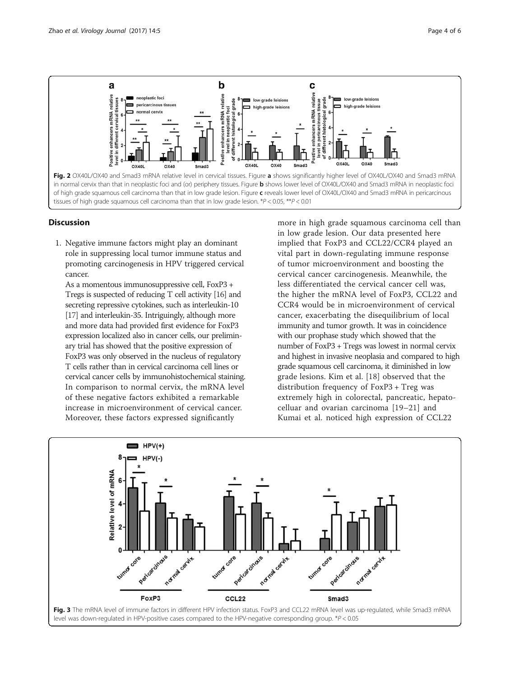<span id="page-3-0"></span>

#### **Discussion**

1. Negative immune factors might play an dominant role in suppressing local tumor immune status and promoting carcinogenesis in HPV triggered cervical cancer.

As a momentous immunosuppressive cell, FoxP3 + Tregs is suspected of reducing T cell activity [[16\]](#page-5-0) and secreting repressive cytokines, such as interleukin-10 [\[17](#page-5-0)] and interleukin-35. Intriguingly, although more and more data had provided first evidence for FoxP3 expression localized also in cancer cells, our preliminary trial has showed that the positive expression of FoxP3 was only observed in the nucleus of regulatory T cells rather than in cervical carcinoma cell lines or cervical cancer cells by immunohistochemical staining. In comparison to normal cervix, the mRNA level of these negative factors exhibited a remarkable increase in microenvironment of cervical cancer. Moreover, these factors expressed significantly

more in high grade squamous carcinoma cell than in low grade lesion. Our data presented here implied that FoxP3 and CCL22/CCR4 played an vital part in down-regulating immune response of tumor microenvironment and boosting the cervical cancer carcinogenesis. Meanwhile, the less differentiated the cervical cancer cell was, the higher the mRNA level of FoxP3, CCL22 and CCR4 would be in microenvironment of cervical cancer, exacerbating the disequilibrium of local immunity and tumor growth. It was in coincidence with our prophase study which showed that the number of FoxP3 + Tregs was lowest in normal cervix and highest in invasive neoplasia and compared to high grade squamous cell carcinoma, it diminished in low grade lesions. Kim et al. [[18\]](#page-5-0) observed that the distribution frequency of FoxP3 + Treg was extremely high in colorectal, pancreatic, hepatocelluar and ovarian carcinoma [\[19](#page-5-0)–[21](#page-5-0)] and Kumai et al. noticed high expression of CCL22



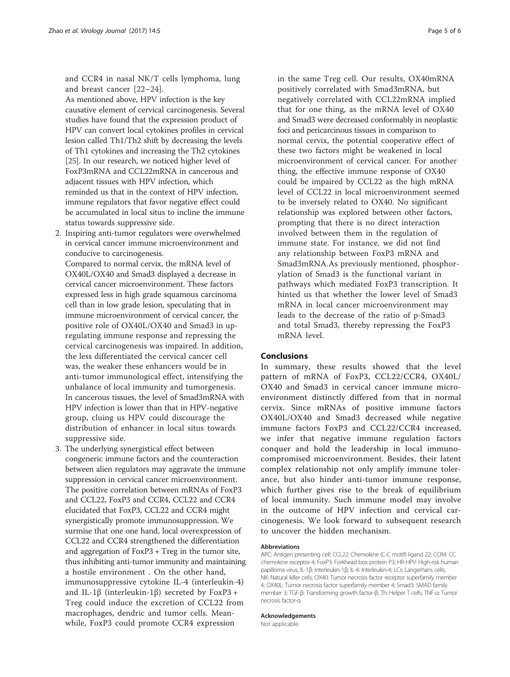and CCR4 in nasal NK/T cells lymphoma, lung and breast cancer [[22](#page-5-0)–[24\]](#page-5-0).

As mentioned above, HPV infection is the key causative element of cervical carcinogenesis. Several studies have found that the expression product of HPV can convert local cytokines profiles in cervical lesion called Th1/Th2 shift by decreasing the levels of Th1 cytokines and increasing the Th2 cytokines [\[25](#page-5-0)]. In our research, we noticed higher level of FoxP3mRNA and CCL22mRNA in cancerous and adjacent tissues with HPV infection, which reminded us that in the context of HPV infection, immune regulators that favor negative effect could be accumulated in local situs to incline the immune status towards suppressive side.

2. Inspiring anti-tumor regulators were overwhelmed in cervical cancer immune microenvironment and conducive to carcinogenesis.

Compared to normal cervix, the mRNA level of OX40L/OX40 and Smad3 displayed a decrease in cervical cancer microenvironment. These factors expressed less in high grade squamous carcinoma cell than in low grade lesion, speculating that in immune microenvironment of cervical cancer, the positive role of OX40L/OX40 and Smad3 in upregulating immune response and repressing the cervical carcinogenesis was impaired. In addition, the less differentiated the cervical cancer cell was, the weaker these enhancers would be in anti-tumor immunological effect, intensifying the unbalance of local immunity and tumorgenesis. In cancerous tissues, the level of Smad3mRNA with HPV infection is lower than that in HPV-negative group, cluing us HPV could discourage the distribution of enhancer in local situs towards suppressive side.

3. The underlying synergistical effect between congeneric immune factors and the counteraction between alien regulators may aggravate the immune suppression in cervical cancer microenvironment. The positive correlation between mRNAs of FoxP3 and CCL22, FoxP3 and CCR4, CCL22 and CCR4 elucidated that FoxP3, CCL22 and CCR4 might synergistically promote immunosuppression. We surmise that one one hand, local overexpression of CCL22 and CCR4 strengthened the differentiation and aggregation of FoxP3 + Treg in the tumor site, thus inhibiting anti-tumor immunity and maintaining a hostile environment . On the other hand, immunosuppressive cytokine IL-4 (interleukin-4) and IL-1β (interleukin-1β) secreted by FoxP3 + Treg could induce the excretion of CCL22 from macrophages, dendric and tumor cells. Meanwhile, FoxP3 could promote CCR4 expression

in the same Treg cell. Our results, OX40mRNA positively correlated with Smad3mRNA, but negatively correlated with CCL22mRNA implied that for one thing, as the mRNA level of OX40 and Smad3 were decreased conformably in neoplastic foci and pericarcinous tissues in comparison to normal cervix, the potential cooperative effect of these two factors might be weakened in local microenvironment of cervical cancer. For another thing, the effective immune response of OX40 could be impaired by CCL22 as the high mRNA level of CCL22 in local microenvironment seemed to be inversely related to OX40. No significant relationship was explored between other factors, prompting that there is no direct interaction involved between them in the regulation of immune state. For instance, we did not find any relationship between FoxP3 mRNA and Smad3mRNA.As previously mentioned, phosphorylation of Smad3 is the functional variant in pathways which mediated FoxP3 transcription. It hinted us that whether the lower level of Smad3 mRNA in local cancer microenvironment may leads to the decrease of the ratio of p-Smad3 and total Smad3, thereby repressing the FoxP3 mRNA level.

#### Conclusions

In summary, these results showed that the level pattern of mRNA of FoxP3, CCL22/CCR4, OX40L/ OX40 and Smad3 in cervical cancer immune microenvironment distinctly differed from that in normal cervix. Since mRNAs of positive immune factors OX40L/OX40 and Smad3 decreased while negative immune factors FoxP3 and CCL22/CCR4 increased, we infer that negative immune regulation factors conquer and hold the leadership in local immunocompromised microenvironment. Besides, their latent complex relationship not only amplify immune tolerance, but also hinder anti-tumor immune response, which further gives rise to the break of equilibrium of local immunity. Such immune model may involve in the outcome of HPV infection and cervical carcinogenesis. We look forward to subsequent research to uncover the hidden mechanism.

#### Abbreviations

APC: Antigen presenting cell; CCL22: Chemokine (C-C motif) ligand 22; CCR4: CC chemokine receptor 4; FoxP3: Forkhead box protein P3; HR-HPV: High-risk human papilloma virus; IL-1β: Interleukin-1β; IL-4: Interleukin-4; LCs: Langerhans cells; NK: Natural killer cells; OX40: Tumor necrosis factor receptor superfamily member 4; OX40L: Tumor necrosis factor superfamily member 4; Smad3: SMAD family member 3; TGF-β: Transforming growth factor-β; Th: Helper T cells; TNF-α: Tumor necrosis factor-α

#### Acknowledgements

Not applicable.